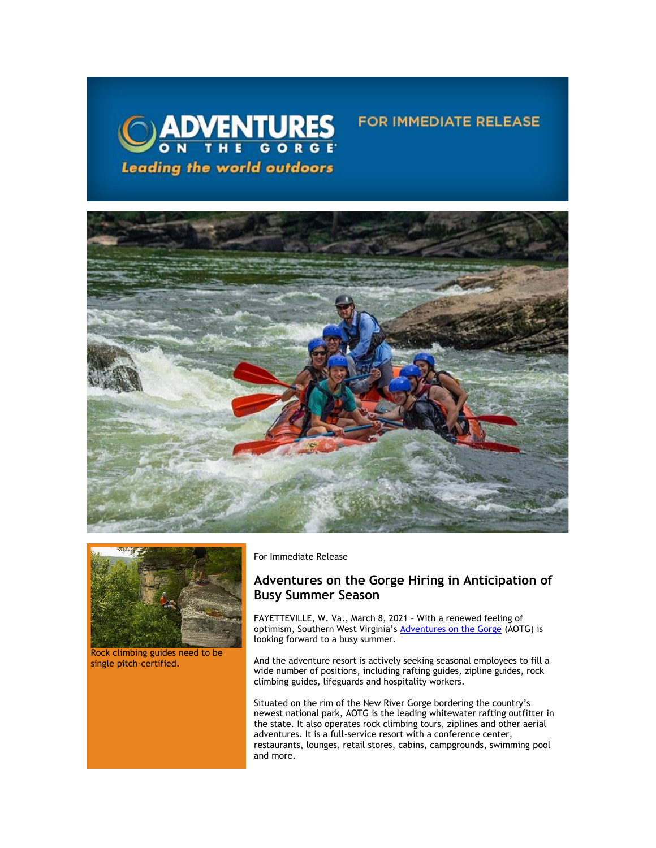





Rock climbing guides need to be single pitch-certified.

For Immediate Release

## **Adventures on the Gorge Hiring in Anticipation of Busy Summer Season**

FOR IMMEDIATE RELEASE

FAYETTEVILLE, W. Va., March 8, 2021 – With a renewed feeling of optimism, Southern West Virginia's [Adventures on the Gorge](https://click.icptrack.com/icp/relay.php?r=13440961&msgid=472630&act=3SPQ&c=1378153&destination=http%3A%2F%2Fwww.adventuresonthegorge.com%2F&cf=13608&v=5a6d29c5bd89500c6946838c97b8849561ebbd48dbb2fdae9fe0068cb3f8e60e) (AOTG) is looking forward to a busy summer.

And the adventure resort is actively seeking seasonal employees to fill a wide number of positions, including rafting guides, zipline guides, rock climbing guides, lifeguards and hospitality workers.

Situated on the rim of the New River Gorge bordering the country's newest national park, AOTG is the leading whitewater rafting outfitter in the state. It also operates rock climbing tours, ziplines and other aerial adventures. It is a full-service resort with a conference center, restaurants, lounges, retail stores, cabins, campgrounds, swimming pool and more.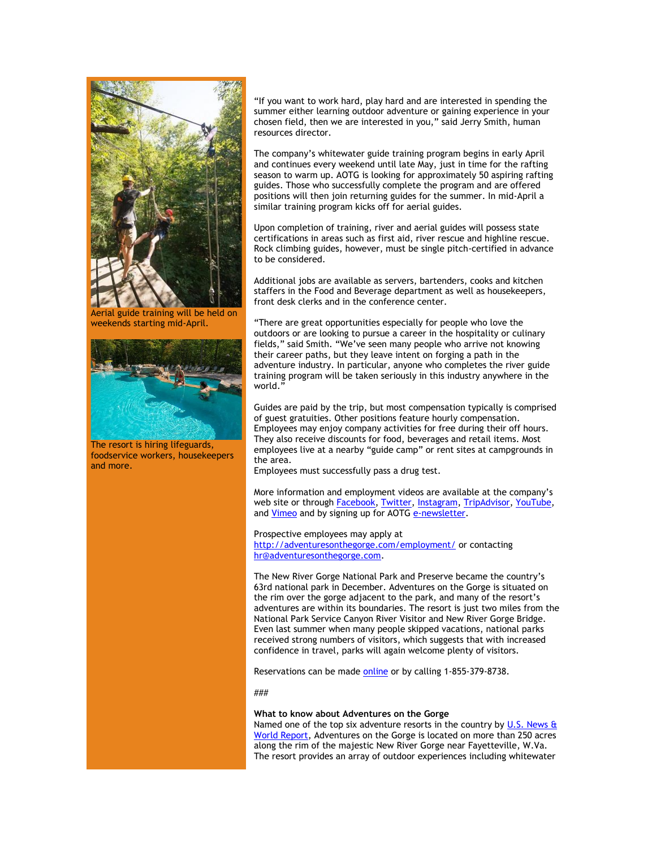

Aerial guide training will be held on weekends starting mid-April.



The resort is hiring lifeguards, foodservice workers, housekeepers and more.

"If you want to work hard, play hard and are interested in spending the summer either learning outdoor adventure or gaining experience in your chosen field, then we are interested in you," said Jerry Smith, human resources director.

The company's whitewater guide training program begins in early April and continues every weekend until late May, just in time for the rafting season to warm up. AOTG is looking for approximately 50 aspiring rafting guides. Those who successfully complete the program and are offered positions will then join returning guides for the summer. In mid-April a similar training program kicks off for aerial guides.

Upon completion of training, river and aerial guides will possess state certifications in areas such as first aid, river rescue and highline rescue. Rock climbing guides, however, must be single pitch-certified in advance to be considered.

Additional jobs are available as servers, bartenders, cooks and kitchen staffers in the Food and Beverage department as well as housekeepers, front desk clerks and in the conference center.

"There are great opportunities especially for people who love the outdoors or are looking to pursue a career in the hospitality or culinary fields," said Smith. "We've seen many people who arrive not knowing their career paths, but they leave intent on forging a path in the adventure industry. In particular, anyone who completes the river guide training program will be taken seriously in this industry anywhere in the world."

Guides are paid by the trip, but most compensation typically is comprised of guest gratuities. Other positions feature hourly compensation. Employees may enjoy company activities for free during their off hours. They also receive discounts for food, beverages and retail items. Most employees live at a nearby "guide camp" or rent sites at campgrounds in the area.

Employees must successfully pass a drug test.

More information and employment videos are available at the company's web site or through [Facebook,](https://click.icptrack.com/icp/relay.php?r=13440961&msgid=472630&act=3SPQ&c=1378153&destination=https%3A%2F%2Fwww.facebook.com%2Fadventuresonthegorge&cf=13608&v=3ae1e8e26c07dbafaaeed67c8a0b8fc0091b0e50b2e6c3b2133cb61911e107ad) [Twitter,](https://click.icptrack.com/icp/relay.php?r=13440961&msgid=472630&act=3SPQ&c=1378153&destination=https%3A%2F%2Ftwitter.com%2Fonthegorge&cf=13608&v=44da65765a4741d2084650c093dae53617e5c7c92b9f6819d24521654e5f4fd3) [Instagram,](https://click.icptrack.com/icp/relay.php?r=13440961&msgid=472630&act=3SPQ&c=1378153&destination=https%3A%2F%2Fwww.instagram.com%2Fonthegorge%2F&cf=13608&v=1ee16880632f1eb73eb9ad24dd989e2d12bd5a71d0cb5b3945f15e683acdaa9e) [TripAdvisor,](https://click.icptrack.com/icp/relay.php?r=13440961&msgid=472630&act=3SPQ&c=1378153&destination=https%3A%2F%2Fwww.tripadvisor.com%2FAttraction_Review-g59234-d2233643-Reviews-Adventures_on_the_Gorge-Lansing_West_Virginia.html&cf=13608&v=812472f5ea0d5eed3fed4db26567b4c884479f53ef512c18d25b071271e965bc) [YouTube,](https://click.icptrack.com/icp/relay.php?r=13440961&msgid=472630&act=3SPQ&c=1378153&destination=https%3A%2F%2Fwww.youtube.com%2Fuser%2FAdventuresOnTheGorge&cf=13608&v=7b71b3e994e129bfdca87c6523149b64faacb62e001d98eb26897d7c7236e8cc) and [Vimeo](https://click.icptrack.com/icp/relay.php?r=13440961&msgid=472630&act=3SPQ&c=1378153&destination=https%3A%2F%2Fvimeo.com%2Fuser4260102&cf=13608&v=4ff82f41c6c552c9da3c61684889fad58e153a690bdb0b74761adab86ca752a0) and by signing up for AOTG [e-newsletter.](https://click.icptrack.com/icp/relay.php?r=13440961&msgid=472630&act=3SPQ&c=1378153&destination=https%3A%2F%2Fadventuresonthegorge.com%2F&cf=13608&v=a83cd0882452dd5ad1794082623f8c176d7586c5f6015a054a1c7b875f219550)

Prospective employees may apply at [http://adventuresonthegorge.com/employment/](https://click.icptrack.com/icp/relay.php?r=13440961&msgid=472630&act=3SPQ&c=1378153&destination=https%3A%2F%2Flinkprotect.cudasvc.com%2Furl%3Fa%3Dhttp%253a%252f%252fadventuresonthegorge.com%252femployment%252f%26c%3DE%2C1%2C_NtdlokkPocoQkymyBswOaDwMQsrQsWeuAlNX9uPfbcHaJwpsGTKe0eEZ2l5-j-B3GwnR08PbFNR6Gf-wH6Rklriei0Q8u-4b96ZRft_JR3W%26typo%3D1&cf=13608&v=8adc278260c891dce948986a4eaed619844f5c2b5457c9b124d8310879f3ca23) or contacting [hr@adventuresonthegorge.com.](mailto:hr@adventuresonthegorge.com)

The New River Gorge National Park and Preserve became the country's 63rd national park in December. Adventures on the Gorge is situated on the rim over the gorge adjacent to the park, and many of the resort's adventures are within its boundaries. The resort is just two miles from the National Park Service Canyon River Visitor and New River Gorge Bridge. Even last summer when many people skipped vacations, national parks received strong numbers of visitors, which suggests that with increased confidence in travel, parks will again welcome plenty of visitors.

Reservations can be made [online](https://click.icptrack.com/icp/relay.php?r=13440961&msgid=472630&act=3SPQ&c=1378153&destination=https%3A%2F%2Fadventuresonthegorge.com%2Fadventures%2Fwhitewater-rafting%2Fsummer-gauley-loop-overnight%2F&cf=13608&v=4850d45587df31612fc20496dd2cce90cea3787d6dbc23d49d242d845627523b) or by calling 1-855-379-8738.

###

## **What to know about Adventures on the Gorge**

Named one of the top six adventure resorts in the country by U.S. News  $\theta$ [World Report,](https://click.icptrack.com/icp/relay.php?r=13440961&msgid=472630&act=3SPQ&c=1378153&destination=http%3A%2F%2Ftravel.usnews.com%2Fgallery%2Famericas-6-top-adventure-resorts&cf=13608&v=764bfdbe430f777c5bcc69b025c1a8805ca5cbb157f8c18454c411b272e07901) Adventures on the Gorge is located on more than 250 acres along the rim of the majestic New River Gorge near Fayetteville, W.Va. The resort provides an array of outdoor experiences including whitewater